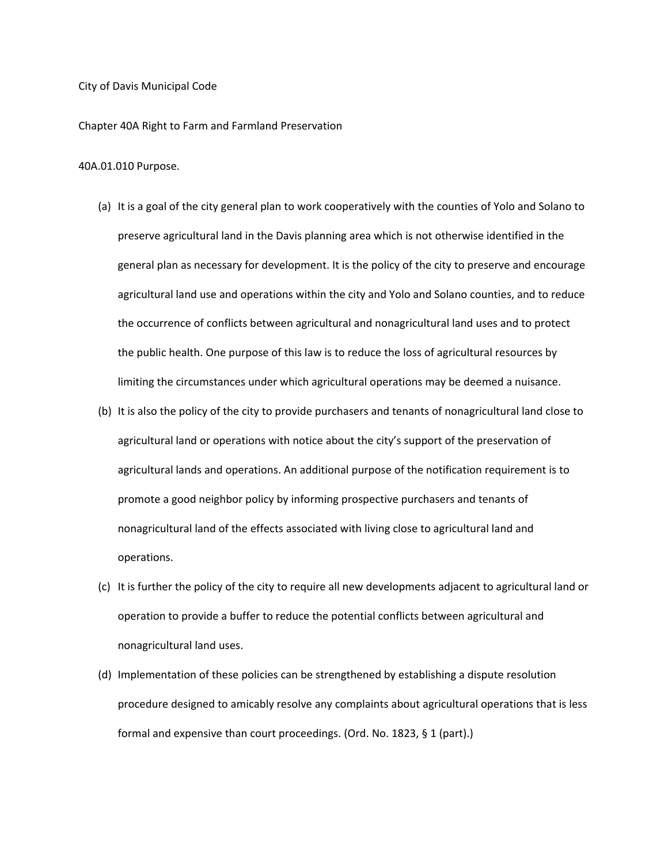### City of Davis Municipal Code

Chapter 40A Right to Farm and Farmland Preservation

### 40A.01.010 Purpose.

- (a) It is a goal of the city general plan to work cooperatively with the counties of Yolo and Solano to preserve agricultural land in the Davis planning area which is not otherwise identified in the general plan as necessary for development. It is the policy of the city to preserve and encourage agricultural land use and operations within the city and Yolo and Solano counties, and to reduce the occurrence of conflicts between agricultural and nonagricultural land uses and to protect the public health. One purpose of this law is to reduce the loss of agricultural resources by limiting the circumstances under which agricultural operations may be deemed a nuisance.
- (b) It is also the policy of the city to provide purchasers and tenants of nonagricultural land close to agricultural land or operations with notice about the city's support of the preservation of agricultural lands and operations. An additional purpose of the notification requirement is to promote a good neighbor policy by informing prospective purchasers and tenants of nonagricultural land of the effects associated with living close to agricultural land and operations.
- (c) It is further the policy of the city to require all new developments adjacent to agricultural land or operation to provide a buffer to reduce the potential conflicts between agricultural and nonagricultural land uses.
- (d) Implementation of these policies can be strengthened by establishing a dispute resolution procedure designed to amicably resolve any complaints about agricultural operations that is less formal and expensive than court proceedings. (Ord. No. 1823, § 1 (part).)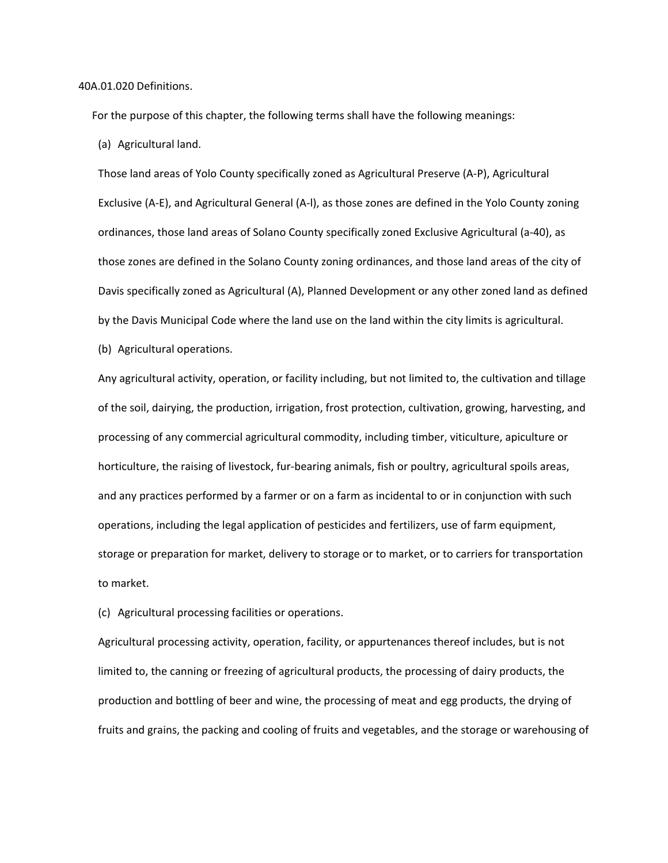40A.01.020 Definitions.

For the purpose of this chapter, the following terms shall have the following meanings:

(a) Agricultural land.

Those land areas of Yolo County specifically zoned as Agricultural Preserve (A‐P), Agricultural Exclusive (A‐E), and Agricultural General (A‐l), as those zones are defined in the Yolo County zoning ordinances, those land areas of Solano County specifically zoned Exclusive Agricultural (a‐40), as those zones are defined in the Solano County zoning ordinances, and those land areas of the city of Davis specifically zoned as Agricultural (A), Planned Development or any other zoned land as defined by the Davis Municipal Code where the land use on the land within the city limits is agricultural.

(b) Agricultural operations.

Any agricultural activity, operation, or facility including, but not limited to, the cultivation and tillage of the soil, dairying, the production, irrigation, frost protection, cultivation, growing, harvesting, and processing of any commercial agricultural commodity, including timber, viticulture, apiculture or horticulture, the raising of livestock, fur-bearing animals, fish or poultry, agricultural spoils areas, and any practices performed by a farmer or on a farm as incidental to or in conjunction with such operations, including the legal application of pesticides and fertilizers, use of farm equipment, storage or preparation for market, delivery to storage or to market, or to carriers for transportation to market.

(c) Agricultural processing facilities or operations.

Agricultural processing activity, operation, facility, or appurtenances thereof includes, but is not limited to, the canning or freezing of agricultural products, the processing of dairy products, the production and bottling of beer and wine, the processing of meat and egg products, the drying of fruits and grains, the packing and cooling of fruits and vegetables, and the storage or warehousing of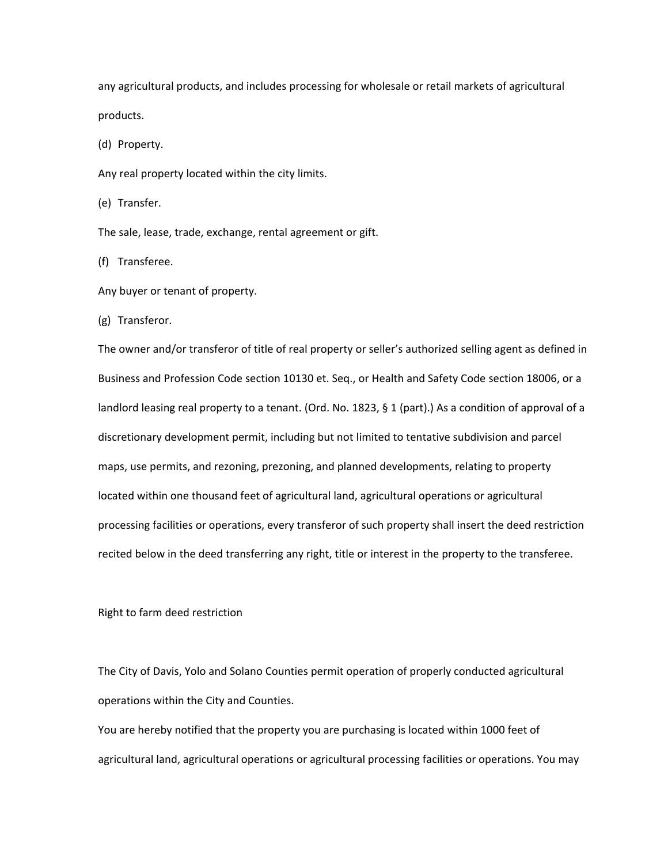any agricultural products, and includes processing for wholesale or retail markets of agricultural products.

(d) Property.

Any real property located within the city limits.

(e) Transfer.

The sale, lease, trade, exchange, rental agreement or gift.

(f) Transferee.

Any buyer or tenant of property.

(g) Transferor.

The owner and/or transferor of title of real property or seller's authorized selling agent as defined in Business and Profession Code section 10130 et. Seq., or Health and Safety Code section 18006, or a landlord leasing real property to a tenant. (Ord. No. 1823, § 1 (part).) As a condition of approval of a discretionary development permit, including but not limited to tentative subdivision and parcel maps, use permits, and rezoning, prezoning, and planned developments, relating to property located within one thousand feet of agricultural land, agricultural operations or agricultural processing facilities or operations, every transferor of such property shall insert the deed restriction recited below in the deed transferring any right, title or interest in the property to the transferee.

Right to farm deed restriction

The City of Davis, Yolo and Solano Counties permit operation of properly conducted agricultural operations within the City and Counties.

You are hereby notified that the property you are purchasing is located within 1000 feet of agricultural land, agricultural operations or agricultural processing facilities or operations. You may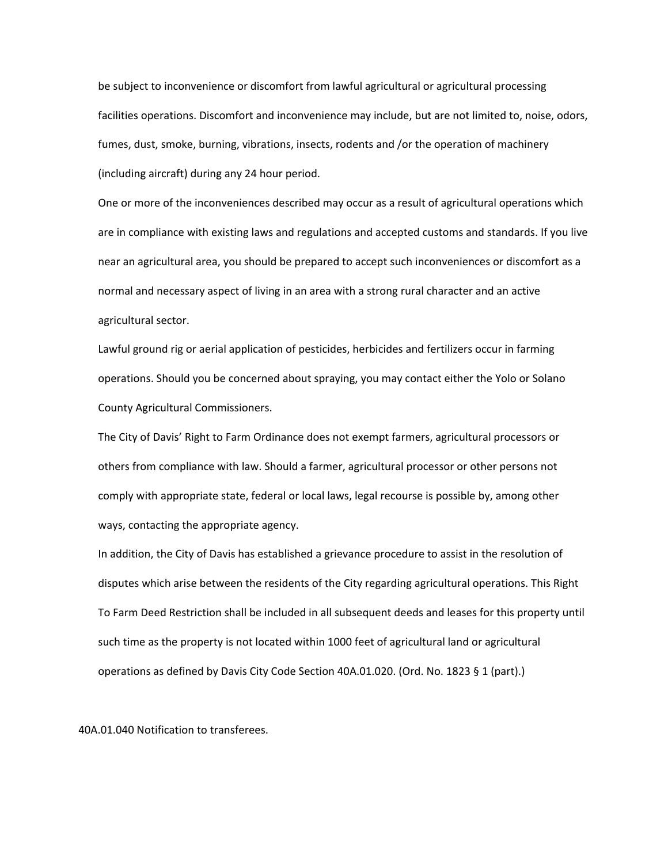be subject to inconvenience or discomfort from lawful agricultural or agricultural processing facilities operations. Discomfort and inconvenience may include, but are not limited to, noise, odors, fumes, dust, smoke, burning, vibrations, insects, rodents and /or the operation of machinery (including aircraft) during any 24 hour period.

One or more of the inconveniences described may occur as a result of agricultural operations which are in compliance with existing laws and regulations and accepted customs and standards. If you live near an agricultural area, you should be prepared to accept such inconveniences or discomfort as a normal and necessary aspect of living in an area with a strong rural character and an active agricultural sector.

Lawful ground rig or aerial application of pesticides, herbicides and fertilizers occur in farming operations. Should you be concerned about spraying, you may contact either the Yolo or Solano County Agricultural Commissioners.

The City of Davis' Right to Farm Ordinance does not exempt farmers, agricultural processors or others from compliance with law. Should a farmer, agricultural processor or other persons not comply with appropriate state, federal or local laws, legal recourse is possible by, among other ways, contacting the appropriate agency.

In addition, the City of Davis has established a grievance procedure to assist in the resolution of disputes which arise between the residents of the City regarding agricultural operations. This Right To Farm Deed Restriction shall be included in all subsequent deeds and leases for this property until such time as the property is not located within 1000 feet of agricultural land or agricultural operations as defined by Davis City Code Section 40A.01.020. (Ord. No. 1823 § 1 (part).)

40A.01.040 Notification to transferees.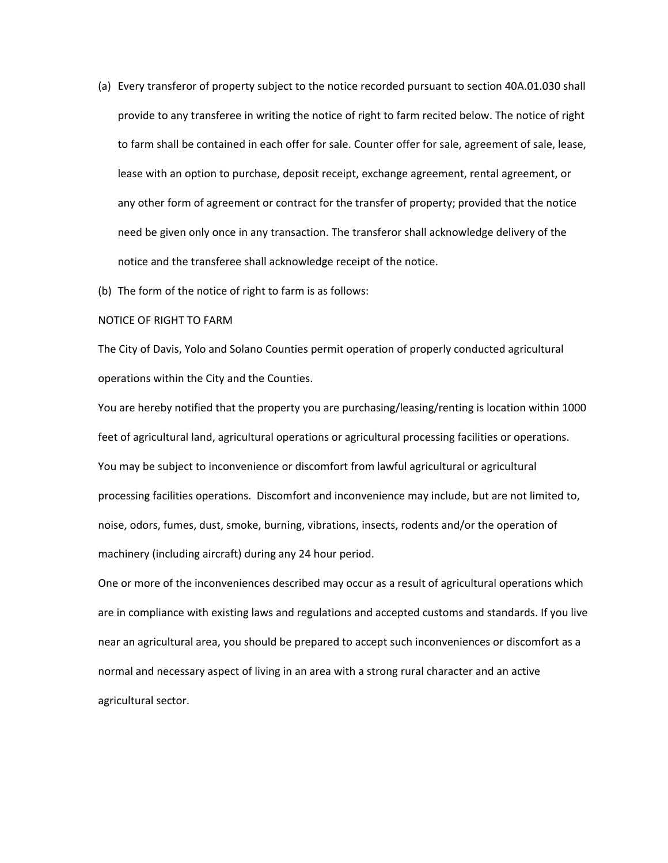- (a) Every transferor of property subject to the notice recorded pursuant to section 40A.01.030 shall provide to any transferee in writing the notice of right to farm recited below. The notice of right to farm shall be contained in each offer for sale. Counter offer for sale, agreement of sale, lease, lease with an option to purchase, deposit receipt, exchange agreement, rental agreement, or any other form of agreement or contract for the transfer of property; provided that the notice need be given only once in any transaction. The transferor shall acknowledge delivery of the notice and the transferee shall acknowledge receipt of the notice.
- (b) The form of the notice of right to farm is as follows:

# NOTICE OF RIGHT TO FARM

The City of Davis, Yolo and Solano Counties permit operation of properly conducted agricultural operations within the City and the Counties.

You are hereby notified that the property you are purchasing/leasing/renting is location within 1000 feet of agricultural land, agricultural operations or agricultural processing facilities or operations. You may be subject to inconvenience or discomfort from lawful agricultural or agricultural processing facilities operations. Discomfort and inconvenience may include, but are not limited to, noise, odors, fumes, dust, smoke, burning, vibrations, insects, rodents and/or the operation of machinery (including aircraft) during any 24 hour period.

One or more of the inconveniences described may occur as a result of agricultural operations which are in compliance with existing laws and regulations and accepted customs and standards. If you live near an agricultural area, you should be prepared to accept such inconveniences or discomfort as a normal and necessary aspect of living in an area with a strong rural character and an active agricultural sector.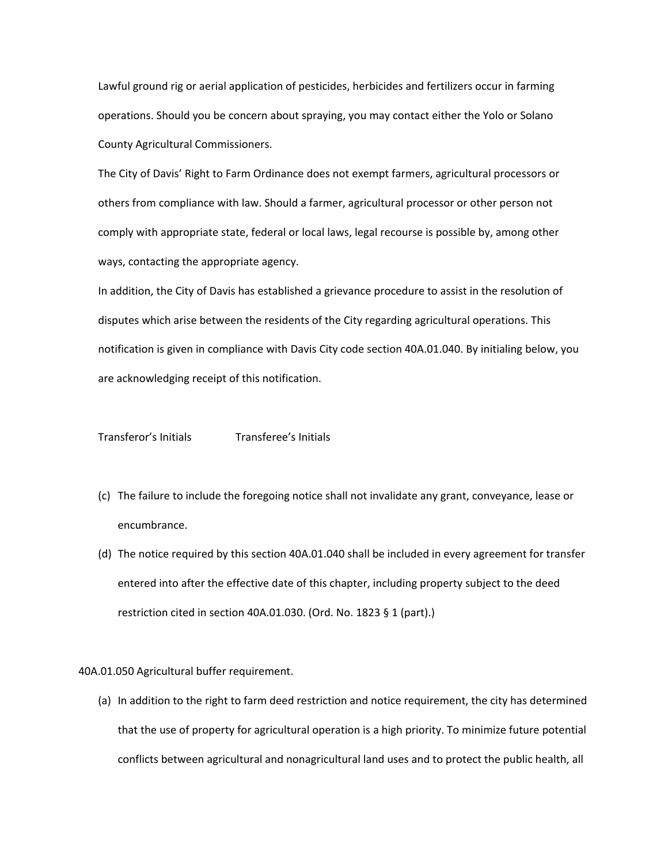Lawful ground rig or aerial application of pesticides, herbicides and fertilizers occur in farming operations. Should you be concern about spraying, you may contact either the Yolo or Solano County Agricultural Commissioners.

The City of Davis' Right to Farm Ordinance does not exempt farmers, agricultural processors or others from compliance with law. Should a farmer, agricultural processor or other person not comply with appropriate state, federal or local laws, legal recourse is possible by, among other ways, contacting the appropriate agency.

In addition, the City of Davis has established a grievance procedure to assist in the resolution of disputes which arise between the residents of the City regarding agricultural operations. This notification is given in compliance with Davis City code section 40A.01.040. By initialing below, you are acknowledging receipt of this notification.

Transferor's Initials Transferee's Initials

- (c) The failure to include the foregoing notice shall not invalidate any grant, conveyance, lease or encumbrance.
- (d) The notice required by this section 40A.01.040 shall be included in every agreement for transfer entered into after the effective date of this chapter, including property subject to the deed restriction cited in section 40A.01.030. (Ord. No. 1823 § 1 (part).)

40A.01.050 Agricultural buffer requirement.

(a) In addition to the right to farm deed restriction and notice requirement, the city has determined that the use of property for agricultural operation is a high priority. To minimize future potential conflicts between agricultural and nonagricultural land uses and to protect the public health, all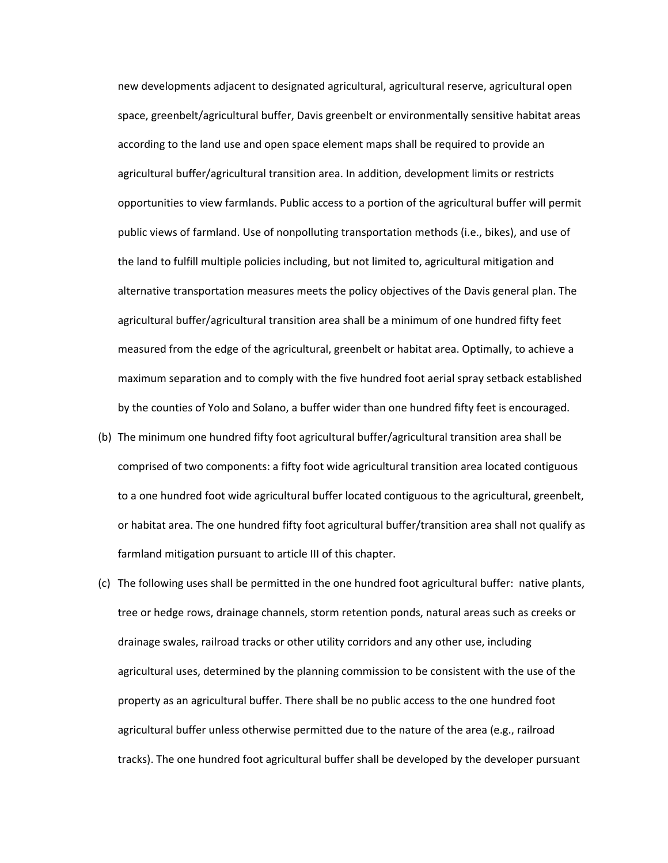new developments adjacent to designated agricultural, agricultural reserve, agricultural open space, greenbelt/agricultural buffer, Davis greenbelt or environmentally sensitive habitat areas according to the land use and open space element maps shall be required to provide an agricultural buffer/agricultural transition area. In addition, development limits or restricts opportunities to view farmlands. Public access to a portion of the agricultural buffer will permit public views of farmland. Use of nonpolluting transportation methods (i.e., bikes), and use of the land to fulfill multiple policies including, but not limited to, agricultural mitigation and alternative transportation measures meets the policy objectives of the Davis general plan. The agricultural buffer/agricultural transition area shall be a minimum of one hundred fifty feet measured from the edge of the agricultural, greenbelt or habitat area. Optimally, to achieve a maximum separation and to comply with the five hundred foot aerial spray setback established by the counties of Yolo and Solano, a buffer wider than one hundred fifty feet is encouraged.

- (b) The minimum one hundred fifty foot agricultural buffer/agricultural transition area shall be comprised of two components: a fifty foot wide agricultural transition area located contiguous to a one hundred foot wide agricultural buffer located contiguous to the agricultural, greenbelt, or habitat area. The one hundred fifty foot agricultural buffer/transition area shall not qualify as farmland mitigation pursuant to article III of this chapter.
- (c) The following uses shall be permitted in the one hundred foot agricultural buffer: native plants, tree or hedge rows, drainage channels, storm retention ponds, natural areas such as creeks or drainage swales, railroad tracks or other utility corridors and any other use, including agricultural uses, determined by the planning commission to be consistent with the use of the property as an agricultural buffer. There shall be no public access to the one hundred foot agricultural buffer unless otherwise permitted due to the nature of the area (e.g., railroad tracks). The one hundred foot agricultural buffer shall be developed by the developer pursuant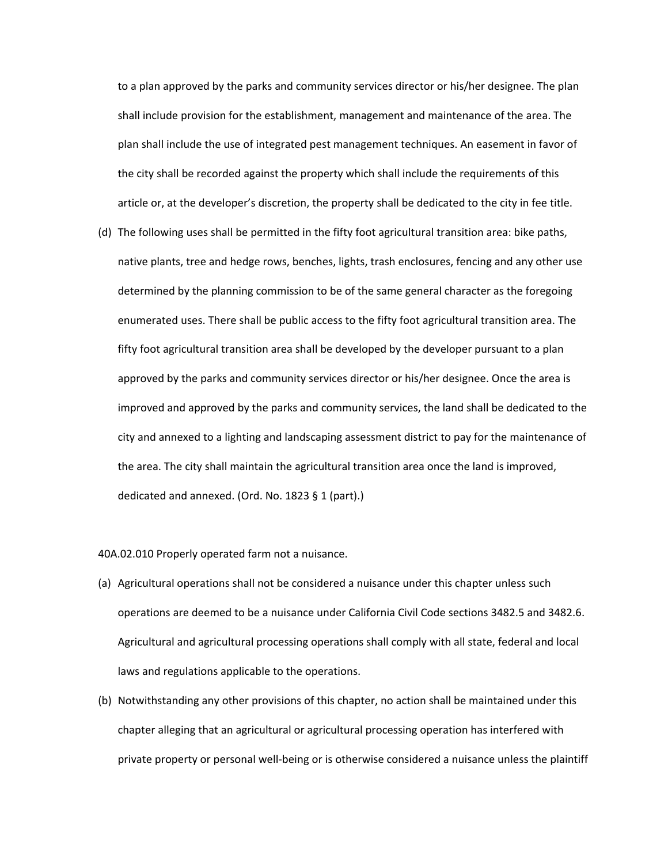to a plan approved by the parks and community services director or his/her designee. The plan shall include provision for the establishment, management and maintenance of the area. The plan shall include the use of integrated pest management techniques. An easement in favor of the city shall be recorded against the property which shall include the requirements of this article or, at the developer's discretion, the property shall be dedicated to the city in fee title.

(d) The following uses shall be permitted in the fifty foot agricultural transition area: bike paths, native plants, tree and hedge rows, benches, lights, trash enclosures, fencing and any other use determined by the planning commission to be of the same general character as the foregoing enumerated uses. There shall be public access to the fifty foot agricultural transition area. The fifty foot agricultural transition area shall be developed by the developer pursuant to a plan approved by the parks and community services director or his/her designee. Once the area is improved and approved by the parks and community services, the land shall be dedicated to the city and annexed to a lighting and landscaping assessment district to pay for the maintenance of the area. The city shall maintain the agricultural transition area once the land is improved, dedicated and annexed. (Ord. No. 1823 § 1 (part).)

40A.02.010 Properly operated farm not a nuisance.

- (a) Agricultural operations shall not be considered a nuisance under this chapter unless such operations are deemed to be a nuisance under California Civil Code sections 3482.5 and 3482.6. Agricultural and agricultural processing operations shall comply with all state, federal and local laws and regulations applicable to the operations.
- (b) Notwithstanding any other provisions of this chapter, no action shall be maintained under this chapter alleging that an agricultural or agricultural processing operation has interfered with private property or personal well‐being or is otherwise considered a nuisance unless the plaintiff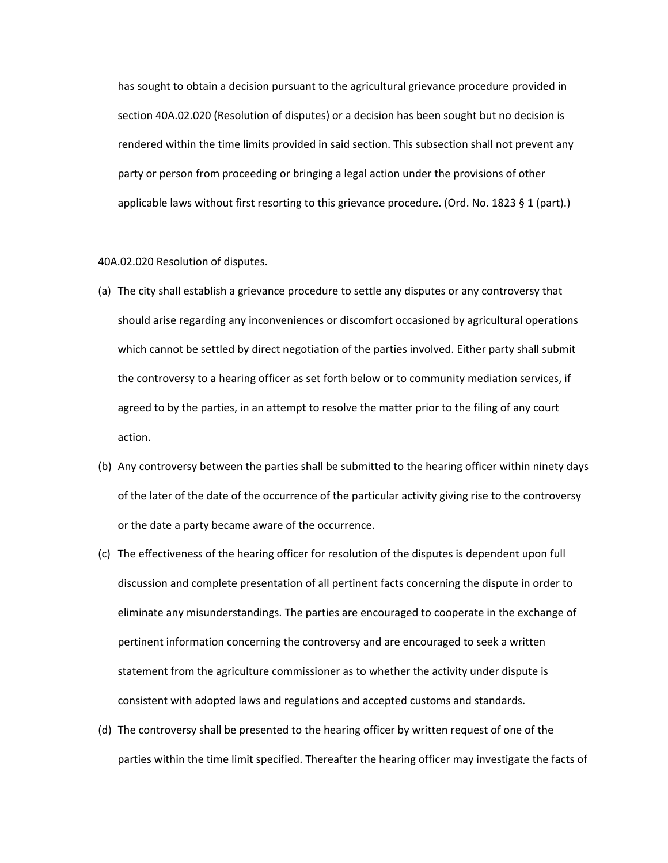has sought to obtain a decision pursuant to the agricultural grievance procedure provided in section 40A.02.020 (Resolution of disputes) or a decision has been sought but no decision is rendered within the time limits provided in said section. This subsection shall not prevent any party or person from proceeding or bringing a legal action under the provisions of other applicable laws without first resorting to this grievance procedure. (Ord. No. 1823 § 1 (part).)

## 40A.02.020 Resolution of disputes.

- (a) The city shall establish a grievance procedure to settle any disputes or any controversy that should arise regarding any inconveniences or discomfort occasioned by agricultural operations which cannot be settled by direct negotiation of the parties involved. Either party shall submit the controversy to a hearing officer as set forth below or to community mediation services, if agreed to by the parties, in an attempt to resolve the matter prior to the filing of any court action.
- (b) Any controversy between the parties shall be submitted to the hearing officer within ninety days of the later of the date of the occurrence of the particular activity giving rise to the controversy or the date a party became aware of the occurrence.
- (c) The effectiveness of the hearing officer for resolution of the disputes is dependent upon full discussion and complete presentation of all pertinent facts concerning the dispute in order to eliminate any misunderstandings. The parties are encouraged to cooperate in the exchange of pertinent information concerning the controversy and are encouraged to seek a written statement from the agriculture commissioner as to whether the activity under dispute is consistent with adopted laws and regulations and accepted customs and standards.
- (d) The controversy shall be presented to the hearing officer by written request of one of the parties within the time limit specified. Thereafter the hearing officer may investigate the facts of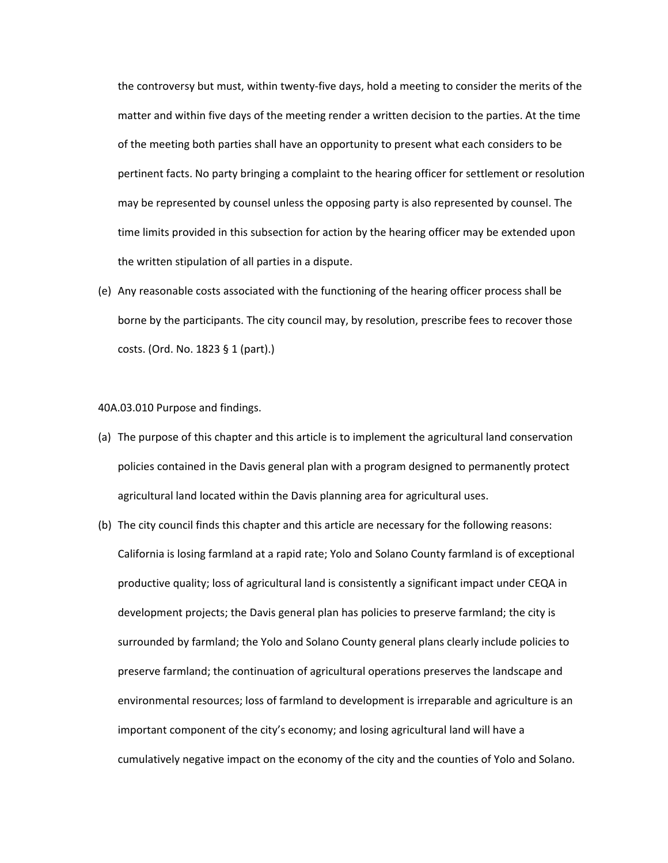the controversy but must, within twenty‐five days, hold a meeting to consider the merits of the matter and within five days of the meeting render a written decision to the parties. At the time of the meeting both parties shall have an opportunity to present what each considers to be pertinent facts. No party bringing a complaint to the hearing officer for settlement or resolution may be represented by counsel unless the opposing party is also represented by counsel. The time limits provided in this subsection for action by the hearing officer may be extended upon the written stipulation of all parties in a dispute.

(e) Any reasonable costs associated with the functioning of the hearing officer process shall be borne by the participants. The city council may, by resolution, prescribe fees to recover those costs. (Ord. No. 1823 § 1 (part).)

40A.03.010 Purpose and findings.

- (a) The purpose of this chapter and this article is to implement the agricultural land conservation policies contained in the Davis general plan with a program designed to permanently protect agricultural land located within the Davis planning area for agricultural uses.
- (b) The city council finds this chapter and this article are necessary for the following reasons: California is losing farmland at a rapid rate; Yolo and Solano County farmland is of exceptional productive quality; loss of agricultural land is consistently a significant impact under CEQA in development projects; the Davis general plan has policies to preserve farmland; the city is surrounded by farmland; the Yolo and Solano County general plans clearly include policies to preserve farmland; the continuation of agricultural operations preserves the landscape and environmental resources; loss of farmland to development is irreparable and agriculture is an important component of the city's economy; and losing agricultural land will have a cumulatively negative impact on the economy of the city and the counties of Yolo and Solano.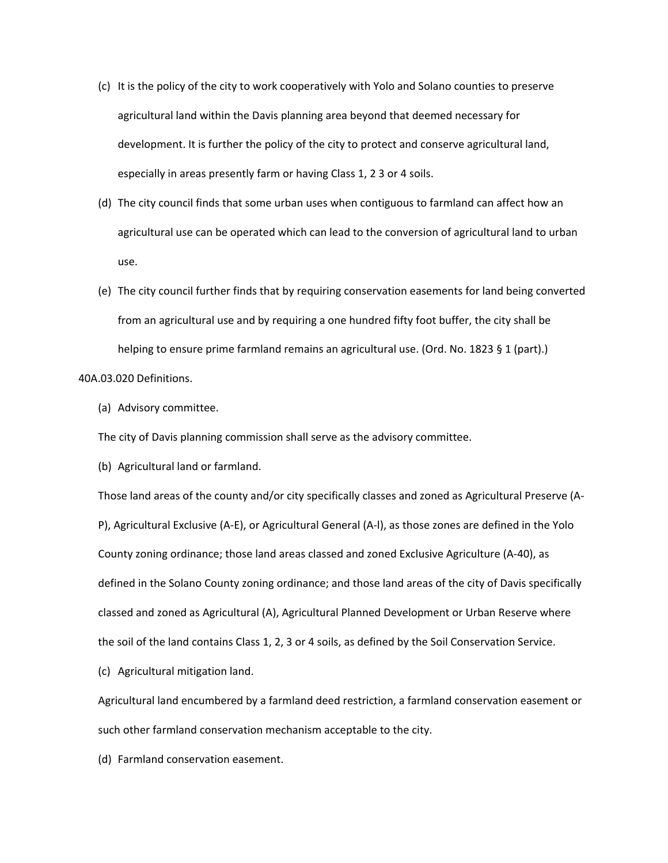- (c) It is the policy of the city to work cooperatively with Yolo and Solano counties to preserve agricultural land within the Davis planning area beyond that deemed necessary for development. It is further the policy of the city to protect and conserve agricultural land, especially in areas presently farm or having Class 1, 2 3 or 4 soils.
- (d) The city council finds that some urban uses when contiguous to farmland can affect how an agricultural use can be operated which can lead to the conversion of agricultural land to urban use.
- (e) The city council further finds that by requiring conservation easements for land being converted from an agricultural use and by requiring a one hundred fifty foot buffer, the city shall be helping to ensure prime farmland remains an agricultural use. (Ord. No. 1823 § 1 (part).)

40A.03.020 Definitions.

(a) Advisory committee.

The city of Davis planning commission shall serve as the advisory committee.

(b) Agricultural land or farmland.

Those land areas of the county and/or city specifically classes and zoned as Agricultural Preserve (A‐ P), Agricultural Exclusive (A‐E), or Agricultural General (A‐l), as those zones are defined in the Yolo County zoning ordinance; those land areas classed and zoned Exclusive Agriculture (A‐40), as defined in the Solano County zoning ordinance; and those land areas of the city of Davis specifically classed and zoned as Agricultural (A), Agricultural Planned Development or Urban Reserve where the soil of the land contains Class 1, 2, 3 or 4 soils, as defined by the Soil Conservation Service.

(c) Agricultural mitigation land.

Agricultural land encumbered by a farmland deed restriction, a farmland conservation easement or such other farmland conservation mechanism acceptable to the city.

(d) Farmland conservation easement.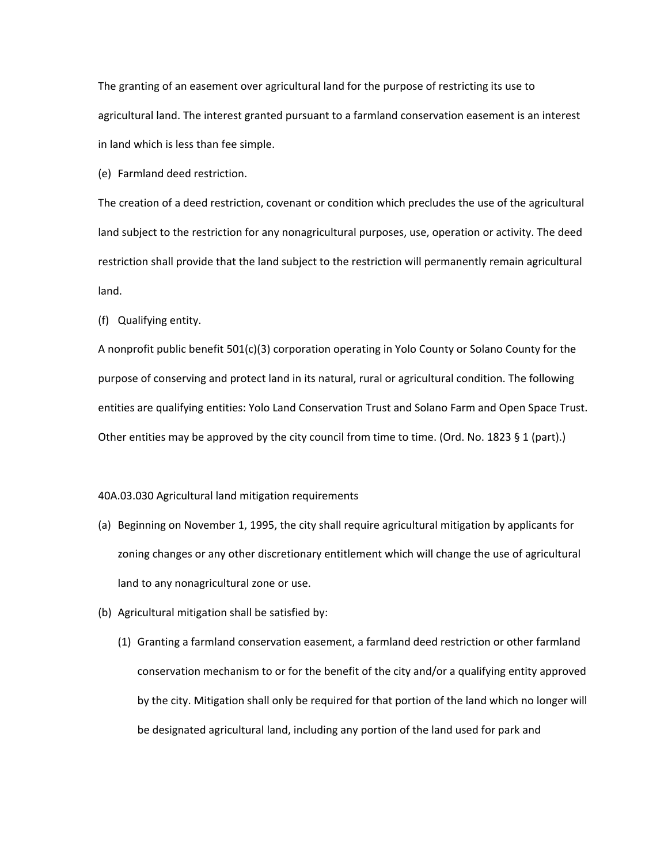The granting of an easement over agricultural land for the purpose of restricting its use to agricultural land. The interest granted pursuant to a farmland conservation easement is an interest in land which is less than fee simple.

(e) Farmland deed restriction.

The creation of a deed restriction, covenant or condition which precludes the use of the agricultural land subject to the restriction for any nonagricultural purposes, use, operation or activity. The deed restriction shall provide that the land subject to the restriction will permanently remain agricultural land.

(f) Qualifying entity.

A nonprofit public benefit 501(c)(3) corporation operating in Yolo County or Solano County for the purpose of conserving and protect land in its natural, rural or agricultural condition. The following entities are qualifying entities: Yolo Land Conservation Trust and Solano Farm and Open Space Trust. Other entities may be approved by the city council from time to time. (Ord. No. 1823 § 1 (part).)

# 40A.03.030 Agricultural land mitigation requirements

- (a) Beginning on November 1, 1995, the city shall require agricultural mitigation by applicants for zoning changes or any other discretionary entitlement which will change the use of agricultural land to any nonagricultural zone or use.
- (b) Agricultural mitigation shall be satisfied by:
	- (1) Granting a farmland conservation easement, a farmland deed restriction or other farmland conservation mechanism to or for the benefit of the city and/or a qualifying entity approved by the city. Mitigation shall only be required for that portion of the land which no longer will be designated agricultural land, including any portion of the land used for park and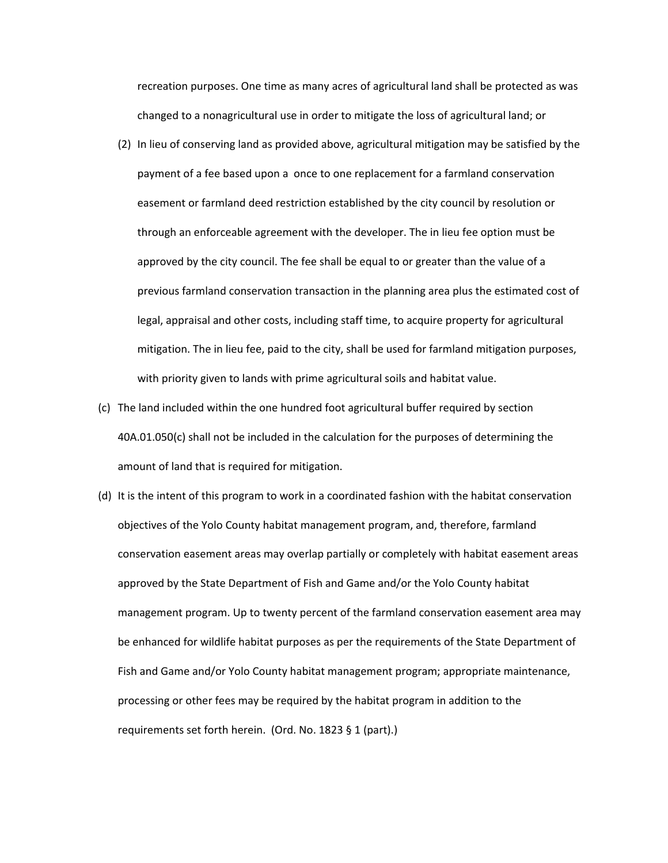recreation purposes. One time as many acres of agricultural land shall be protected as was changed to a nonagricultural use in order to mitigate the loss of agricultural land; or

- (2) In lieu of conserving land as provided above, agricultural mitigation may be satisfied by the payment of a fee based upon a once to one replacement for a farmland conservation easement or farmland deed restriction established by the city council by resolution or through an enforceable agreement with the developer. The in lieu fee option must be approved by the city council. The fee shall be equal to or greater than the value of a previous farmland conservation transaction in the planning area plus the estimated cost of legal, appraisal and other costs, including staff time, to acquire property for agricultural mitigation. The in lieu fee, paid to the city, shall be used for farmland mitigation purposes, with priority given to lands with prime agricultural soils and habitat value.
- (c) The land included within the one hundred foot agricultural buffer required by section 40A.01.050(c) shall not be included in the calculation for the purposes of determining the amount of land that is required for mitigation.
- (d) It is the intent of this program to work in a coordinated fashion with the habitat conservation objectives of the Yolo County habitat management program, and, therefore, farmland conservation easement areas may overlap partially or completely with habitat easement areas approved by the State Department of Fish and Game and/or the Yolo County habitat management program. Up to twenty percent of the farmland conservation easement area may be enhanced for wildlife habitat purposes as per the requirements of the State Department of Fish and Game and/or Yolo County habitat management program; appropriate maintenance, processing or other fees may be required by the habitat program in addition to the requirements set forth herein. (Ord. No. 1823 § 1 (part).)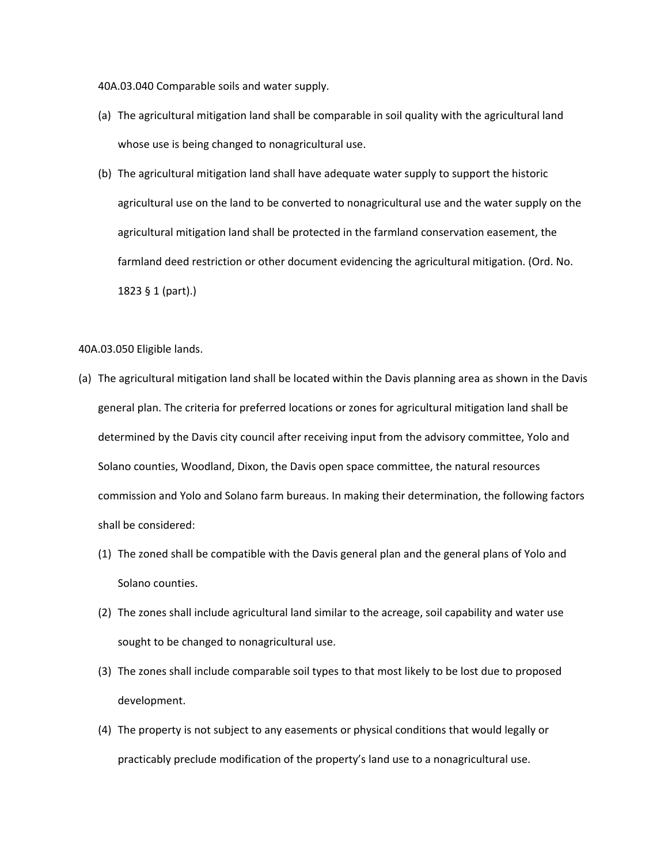40A.03.040 Comparable soils and water supply.

- (a) The agricultural mitigation land shall be comparable in soil quality with the agricultural land whose use is being changed to nonagricultural use.
- (b) The agricultural mitigation land shall have adequate water supply to support the historic agricultural use on the land to be converted to nonagricultural use and the water supply on the agricultural mitigation land shall be protected in the farmland conservation easement, the farmland deed restriction or other document evidencing the agricultural mitigation. (Ord. No. 1823 § 1 (part).)

40A.03.050 Eligible lands.

- (a) The agricultural mitigation land shall be located within the Davis planning area as shown in the Davis general plan. The criteria for preferred locations or zones for agricultural mitigation land shall be determined by the Davis city council after receiving input from the advisory committee, Yolo and Solano counties, Woodland, Dixon, the Davis open space committee, the natural resources commission and Yolo and Solano farm bureaus. In making their determination, the following factors shall be considered:
	- (1) The zoned shall be compatible with the Davis general plan and the general plans of Yolo and Solano counties.
	- (2) The zones shall include agricultural land similar to the acreage, soil capability and water use sought to be changed to nonagricultural use.
	- (3) The zones shall include comparable soil types to that most likely to be lost due to proposed development.
	- (4) The property is not subject to any easements or physical conditions that would legally or practicably preclude modification of the property's land use to a nonagricultural use.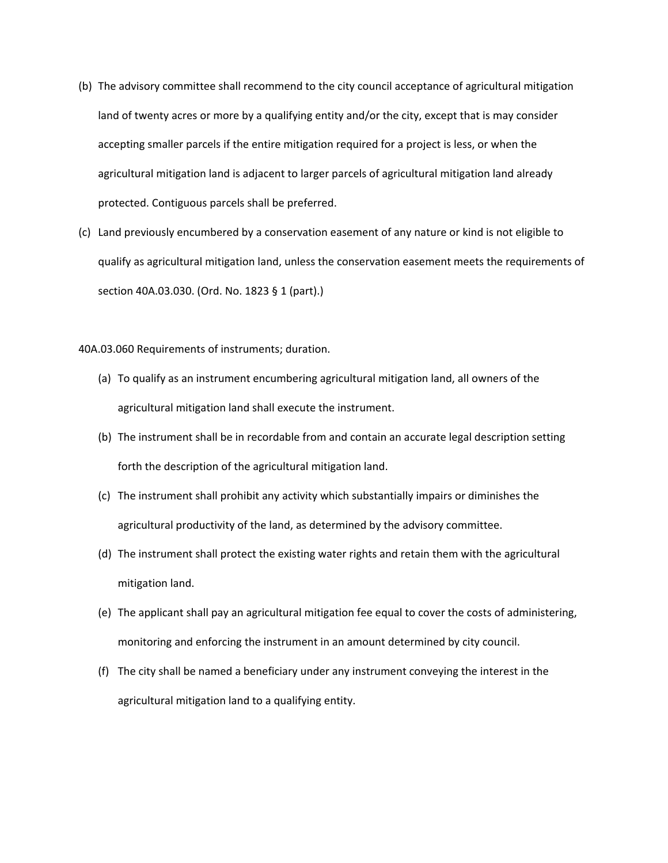- (b) The advisory committee shall recommend to the city council acceptance of agricultural mitigation land of twenty acres or more by a qualifying entity and/or the city, except that is may consider accepting smaller parcels if the entire mitigation required for a project is less, or when the agricultural mitigation land is adjacent to larger parcels of agricultural mitigation land already protected. Contiguous parcels shall be preferred.
- (c) Land previously encumbered by a conservation easement of any nature or kind is not eligible to qualify as agricultural mitigation land, unless the conservation easement meets the requirements of section 40A.03.030. (Ord. No. 1823 § 1 (part).)

40A.03.060 Requirements of instruments; duration.

- (a) To qualify as an instrument encumbering agricultural mitigation land, all owners of the agricultural mitigation land shall execute the instrument.
- (b) The instrument shall be in recordable from and contain an accurate legal description setting forth the description of the agricultural mitigation land.
- (c) The instrument shall prohibit any activity which substantially impairs or diminishes the agricultural productivity of the land, as determined by the advisory committee.
- (d) The instrument shall protect the existing water rights and retain them with the agricultural mitigation land.
- (e) The applicant shall pay an agricultural mitigation fee equal to cover the costs of administering, monitoring and enforcing the instrument in an amount determined by city council.
- (f) The city shall be named a beneficiary under any instrument conveying the interest in the agricultural mitigation land to a qualifying entity.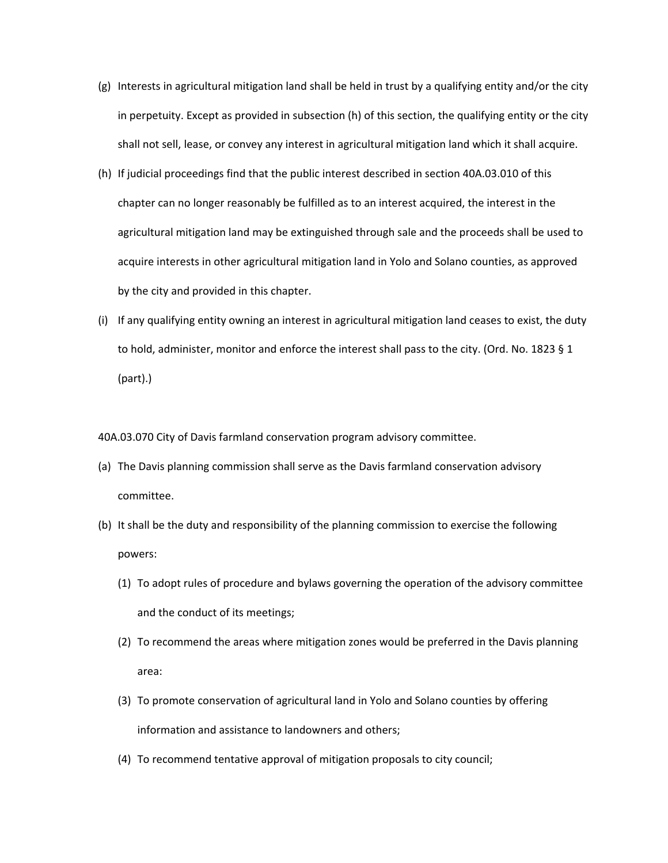- (g) Interests in agricultural mitigation land shall be held in trust by a qualifying entity and/or the city in perpetuity. Except as provided in subsection (h) of this section, the qualifying entity or the city shall not sell, lease, or convey any interest in agricultural mitigation land which it shall acquire.
- (h) If judicial proceedings find that the public interest described in section 40A.03.010 of this chapter can no longer reasonably be fulfilled as to an interest acquired, the interest in the agricultural mitigation land may be extinguished through sale and the proceeds shall be used to acquire interests in other agricultural mitigation land in Yolo and Solano counties, as approved by the city and provided in this chapter.
- (i) If any qualifying entity owning an interest in agricultural mitigation land ceases to exist, the duty to hold, administer, monitor and enforce the interest shall pass to the city. (Ord. No. 1823 § 1 (part).)

40A.03.070 City of Davis farmland conservation program advisory committee.

- (a) The Davis planning commission shall serve as the Davis farmland conservation advisory committee.
- (b) It shall be the duty and responsibility of the planning commission to exercise the following powers:
	- (1) To adopt rules of procedure and bylaws governing the operation of the advisory committee and the conduct of its meetings;
	- (2) To recommend the areas where mitigation zones would be preferred in the Davis planning area:
	- (3) To promote conservation of agricultural land in Yolo and Solano counties by offering information and assistance to landowners and others;
	- (4) To recommend tentative approval of mitigation proposals to city council;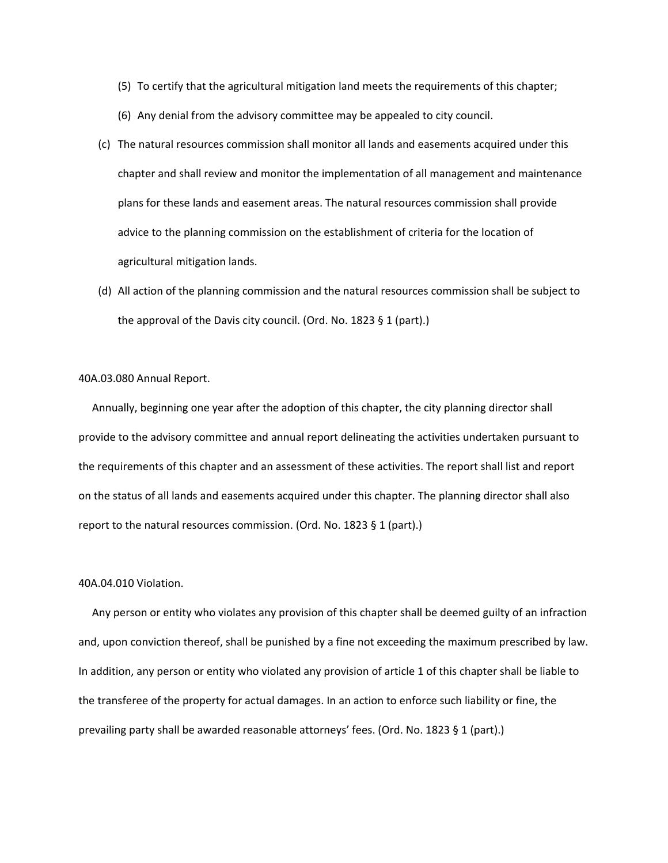- (5) To certify that the agricultural mitigation land meets the requirements of this chapter;
- (6) Any denial from the advisory committee may be appealed to city council.
- (c) The natural resources commission shall monitor all lands and easements acquired under this chapter and shall review and monitor the implementation of all management and maintenance plans for these lands and easement areas. The natural resources commission shall provide advice to the planning commission on the establishment of criteria for the location of agricultural mitigation lands.
- (d) All action of the planning commission and the natural resources commission shall be subject to the approval of the Davis city council. (Ord. No. 1823 § 1 (part).)

40A.03.080 Annual Report.

 Annually, beginning one year after the adoption of this chapter, the city planning director shall provide to the advisory committee and annual report delineating the activities undertaken pursuant to the requirements of this chapter and an assessment of these activities. The report shall list and report on the status of all lands and easements acquired under this chapter. The planning director shall also report to the natural resources commission. (Ord. No. 1823 § 1 (part).)

# 40A.04.010 Violation.

 Any person or entity who violates any provision of this chapter shall be deemed guilty of an infraction and, upon conviction thereof, shall be punished by a fine not exceeding the maximum prescribed by law. In addition, any person or entity who violated any provision of article 1 of this chapter shall be liable to the transferee of the property for actual damages. In an action to enforce such liability or fine, the prevailing party shall be awarded reasonable attorneys' fees. (Ord. No. 1823 § 1 (part).)